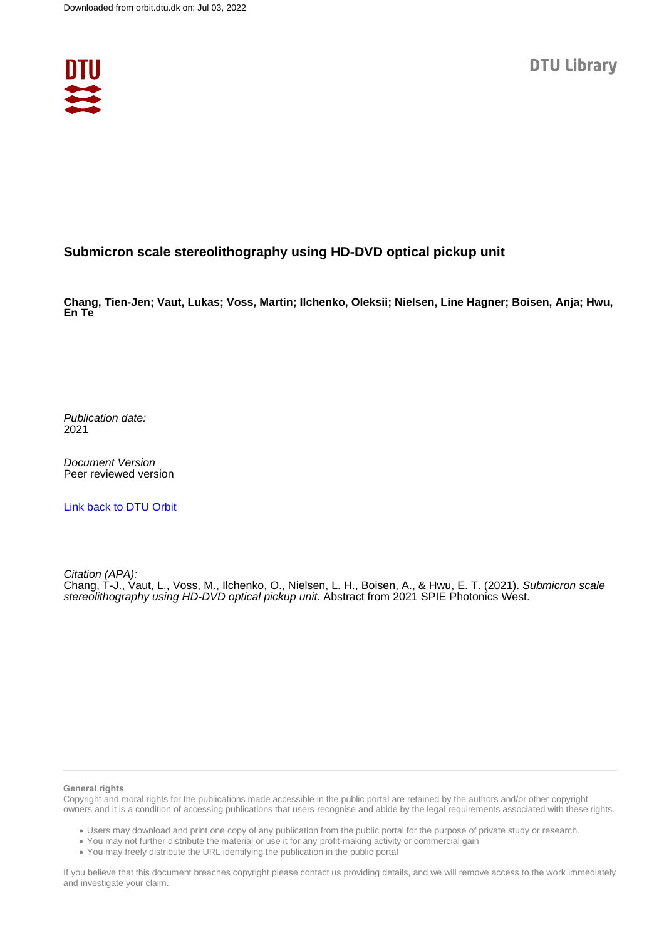

## **Submicron scale stereolithography using HD-DVD optical pickup unit**

**Chang, Tien-Jen; Vaut, Lukas; Voss, Martin; Ilchenko, Oleksii; Nielsen, Line Hagner; Boisen, Anja; Hwu, En Te**

Publication date: 2021

Document Version Peer reviewed version

[Link back to DTU Orbit](https://orbit.dtu.dk/en/publications/6366046e-671d-424b-b4c6-3646e0cf49c8)

Citation (APA):

Chang, T-J., Vaut, L., Voss, M., Ilchenko, O., Nielsen, L. H., Boisen, A., & Hwu, E. T. (2021). Submicron scale stereolithography using HD-DVD optical pickup unit. Abstract from 2021 SPIE Photonics West.

## **General rights**

Copyright and moral rights for the publications made accessible in the public portal are retained by the authors and/or other copyright owners and it is a condition of accessing publications that users recognise and abide by the legal requirements associated with these rights.

Users may download and print one copy of any publication from the public portal for the purpose of private study or research.

- You may not further distribute the material or use it for any profit-making activity or commercial gain
- You may freely distribute the URL identifying the publication in the public portal

If you believe that this document breaches copyright please contact us providing details, and we will remove access to the work immediately and investigate your claim.